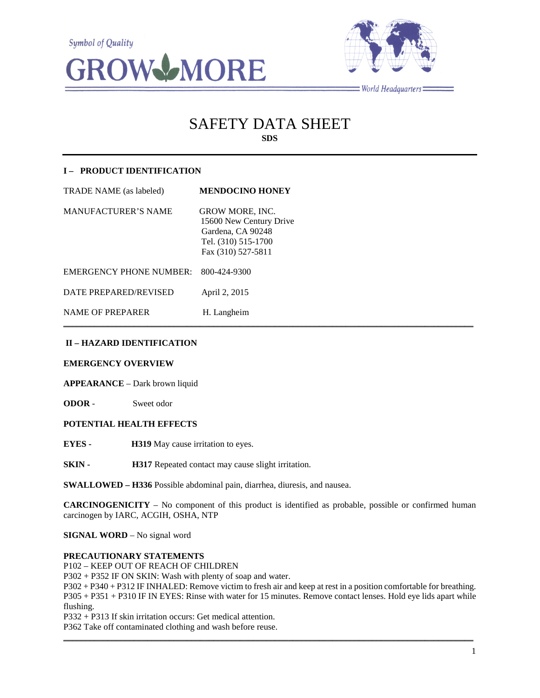



 $=$  World Headquarters  $=$ 

# SAFETY DATA SHEET **SDS**

# **I – PRODUCT IDENTIFICATION**

| <b>TRADE NAME</b> (as labeled) | <b>MENDOCINO HONEY</b>                                                                                              |
|--------------------------------|---------------------------------------------------------------------------------------------------------------------|
| <b>MANUFACTURER'S NAME</b>     | <b>GROW MORE, INC.</b><br>15600 New Century Drive<br>Gardena, CA 90248<br>Tel. (310) 515-1700<br>Fax (310) 527-5811 |
| <b>EMERGENCY PHONE NUMBER:</b> | 800-424-9300                                                                                                        |
| DATE PREPARED/REVISED          | April 2, 2015                                                                                                       |
| <b>NAME OF PREPARER</b>        | H. Langheim                                                                                                         |

# **II – HAZARD IDENTIFICATION**

#### **EMERGENCY OVERVIEW**

**APPEARANCE** – Dark brown liquid

**ODOR** - Sweet odor

# **POTENTIAL HEALTH EFFECTS**

**EYES - H319** May cause irritation to eyes.

**SKIN - H317** Repeated contact may cause slight irritation.

**SWALLOWED – H336** Possible abdominal pain, diarrhea, diuresis, and nausea.

**CARCINOGENICITY** – No component of this product is identified as probable, possible or confirmed human carcinogen by IARC, ACGIH, OSHA, NTP

 $\mathcal{L}_\mathcal{L} = \mathcal{L}_\mathcal{L} = \mathcal{L}_\mathcal{L} = \mathcal{L}_\mathcal{L} = \mathcal{L}_\mathcal{L} = \mathcal{L}_\mathcal{L} = \mathcal{L}_\mathcal{L} = \mathcal{L}_\mathcal{L} = \mathcal{L}_\mathcal{L} = \mathcal{L}_\mathcal{L} = \mathcal{L}_\mathcal{L} = \mathcal{L}_\mathcal{L} = \mathcal{L}_\mathcal{L} = \mathcal{L}_\mathcal{L} = \mathcal{L}_\mathcal{L} = \mathcal{L}_\mathcal{L} = \mathcal{L}_\mathcal{L}$ 

**SIGNAL WORD** – No signal word

#### **PRECAUTIONARY STATEMENTS**

P102 – KEEP OUT OF REACH OF CHILDREN

P302 + P352 IF ON SKIN: Wash with plenty of soap and water.

P302 + P340 + P312 IF INHALED: Remove victim to fresh air and keep at rest in a position comfortable for breathing. P305 + P351 + P310 IF IN EYES: Rinse with water for 15 minutes. Remove contact lenses. Hold eye lids apart while flushing.

 $\mathcal{L}_\mathcal{L} = \{ \mathcal{L}_\mathcal{L} = \{ \mathcal{L}_\mathcal{L} = \{ \mathcal{L}_\mathcal{L} = \{ \mathcal{L}_\mathcal{L} = \{ \mathcal{L}_\mathcal{L} = \{ \mathcal{L}_\mathcal{L} = \{ \mathcal{L}_\mathcal{L} = \{ \mathcal{L}_\mathcal{L} = \{ \mathcal{L}_\mathcal{L} = \{ \mathcal{L}_\mathcal{L} = \{ \mathcal{L}_\mathcal{L} = \{ \mathcal{L}_\mathcal{L} = \{ \mathcal{L}_\mathcal{L} = \{ \mathcal{L}_\mathcal{$ 

P332 + P313 If skin irritation occurs: Get medical attention.

P362 Take off contaminated clothing and wash before reuse.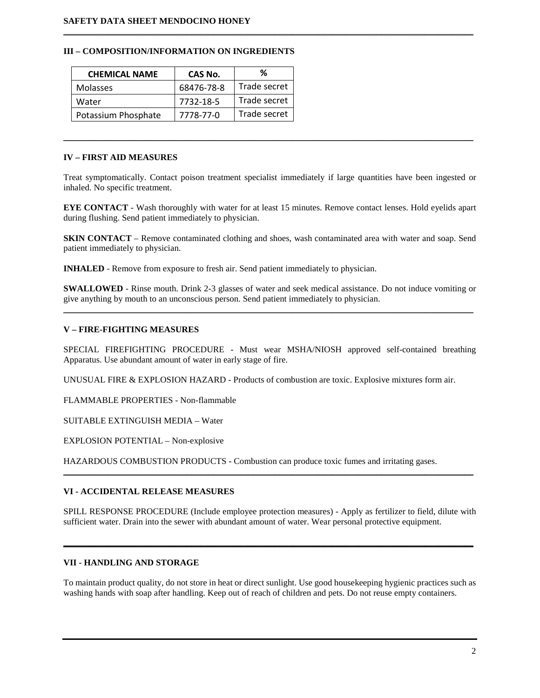## **III – COMPOSITION/INFORMATION ON INGREDIENTS**

| <b>CHEMICAL NAME</b> | CAS No.    | %            |
|----------------------|------------|--------------|
| <b>Molasses</b>      | 68476-78-8 | Trade secret |
| Water                | 7732-18-5  | Trade secret |
| Potassium Phosphate  | 7778-77-0  | Trade secret |

## **IV – FIRST AID MEASURES**

Treat symptomatically. Contact poison treatment specialist immediately if large quantities have been ingested or inhaled. No specific treatment.

 $\mathcal{L}_\mathcal{L} = \{ \mathcal{L}_\mathcal{L} = \{ \mathcal{L}_\mathcal{L} = \{ \mathcal{L}_\mathcal{L} = \{ \mathcal{L}_\mathcal{L} = \{ \mathcal{L}_\mathcal{L} = \{ \mathcal{L}_\mathcal{L} = \{ \mathcal{L}_\mathcal{L} = \{ \mathcal{L}_\mathcal{L} = \{ \mathcal{L}_\mathcal{L} = \{ \mathcal{L}_\mathcal{L} = \{ \mathcal{L}_\mathcal{L} = \{ \mathcal{L}_\mathcal{L} = \{ \mathcal{L}_\mathcal{L} = \{ \mathcal{L}_\mathcal{$ 

 $\mathcal{L}_\mathcal{L} = \{ \mathcal{L}_\mathcal{L} = \{ \mathcal{L}_\mathcal{L} = \{ \mathcal{L}_\mathcal{L} = \{ \mathcal{L}_\mathcal{L} = \{ \mathcal{L}_\mathcal{L} = \{ \mathcal{L}_\mathcal{L} = \{ \mathcal{L}_\mathcal{L} = \{ \mathcal{L}_\mathcal{L} = \{ \mathcal{L}_\mathcal{L} = \{ \mathcal{L}_\mathcal{L} = \{ \mathcal{L}_\mathcal{L} = \{ \mathcal{L}_\mathcal{L} = \{ \mathcal{L}_\mathcal{L} = \{ \mathcal{L}_\mathcal{$ 

**EYE CONTACT** - Wash thoroughly with water for at least 15 minutes. Remove contact lenses. Hold eyelids apart during flushing. Send patient immediately to physician.

**SKIN CONTACT** – Remove contaminated clothing and shoes, wash contaminated area with water and soap. Send patient immediately to physician.

**INHALED** - Remove from exposure to fresh air. Send patient immediately to physician.

**SWALLOWED** - Rinse mouth. Drink 2-3 glasses of water and seek medical assistance. Do not induce vomiting or give anything by mouth to an unconscious person. Send patient immediately to physician. \_\_\_\_\_\_\_\_\_\_\_\_\_\_\_\_\_\_\_\_\_\_\_\_\_\_\_\_\_\_\_\_\_\_\_\_\_\_\_\_\_\_\_\_\_\_\_\_\_\_\_\_\_\_\_\_\_\_\_\_\_\_\_\_\_\_\_\_\_\_\_\_\_\_\_\_\_\_\_\_\_\_\_\_\_\_\_\_\_\_\_\_\_

# **V – FIRE-FIGHTING MEASURES**

SPECIAL FIREFIGHTING PROCEDURE - Must wear MSHA/NIOSH approved self-contained breathing Apparatus. Use abundant amount of water in early stage of fire.

UNUSUAL FIRE & EXPLOSION HAZARD - Products of combustion are toxic. Explosive mixtures form air.

FLAMMABLE PROPERTIES - Non-flammable

SUITABLE EXTINGUISH MEDIA – Water

EXPLOSION POTENTIAL – Non-explosive

HAZARDOUS COMBUSTION PRODUCTS - Combustion can produce toxic fumes and irritating gases.

# **VI - ACCIDENTAL RELEASE MEASURES**

SPILL RESPONSE PROCEDURE (Include employee protection measures) - Apply as fertilizer to field, dilute with sufficient water. Drain into the sewer with abundant amount of water. Wear personal protective equipment.

**\_\_\_\_\_\_\_\_\_\_\_\_\_\_\_\_\_\_\_\_\_\_\_\_\_\_\_\_\_\_\_\_\_\_\_\_\_\_\_\_\_\_\_\_\_\_\_\_\_\_\_\_\_\_\_\_\_\_\_\_\_\_\_\_\_\_\_\_\_\_\_\_\_\_\_\_\_\_\_\_\_\_\_\_\_\_\_\_\_\_\_\_\_**

 $\mathcal{L}_\mathcal{L} = \{ \mathcal{L}_\mathcal{L} = \{ \mathcal{L}_\mathcal{L} = \{ \mathcal{L}_\mathcal{L} = \{ \mathcal{L}_\mathcal{L} = \{ \mathcal{L}_\mathcal{L} = \{ \mathcal{L}_\mathcal{L} = \{ \mathcal{L}_\mathcal{L} = \{ \mathcal{L}_\mathcal{L} = \{ \mathcal{L}_\mathcal{L} = \{ \mathcal{L}_\mathcal{L} = \{ \mathcal{L}_\mathcal{L} = \{ \mathcal{L}_\mathcal{L} = \{ \mathcal{L}_\mathcal{L} = \{ \mathcal{L}_\mathcal{$ 

# **VII - HANDLING AND STORAGE**

To maintain product quality, do not store in heat or direct sunlight. Use good housekeeping hygienic practices such as washing hands with soap after handling. Keep out of reach of children and pets. Do not reuse empty containers.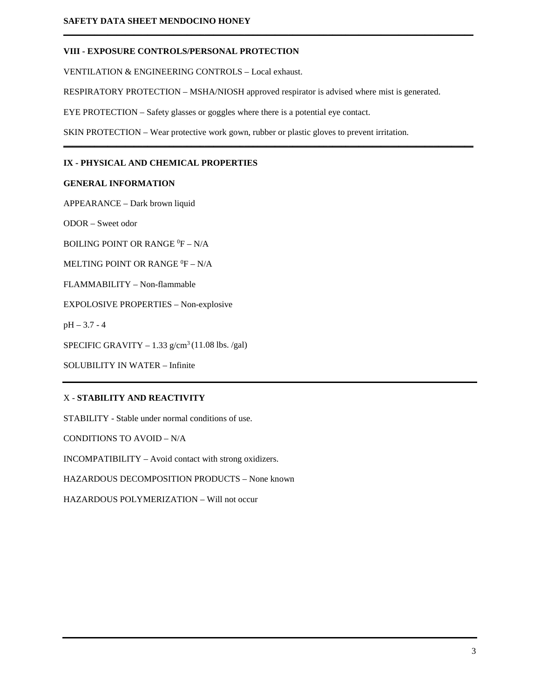# **VIII - EXPOSURE CONTROLS/PERSONAL PROTECTION**

VENTILATION & ENGINEERING CONTROLS – Local exhaust.

RESPIRATORY PROTECTION – MSHA/NIOSH approved respirator is advised where mist is generated.

**\_\_\_\_\_\_\_\_\_\_\_\_\_\_\_\_\_\_\_\_\_\_\_\_\_\_\_\_\_\_\_\_\_\_\_\_\_\_\_\_\_\_\_\_\_\_\_\_\_\_\_\_\_\_\_\_\_\_\_\_\_\_\_\_\_\_\_\_\_\_\_\_\_\_\_\_\_\_\_\_\_\_\_\_\_\_\_\_\_\_\_\_\_**

**\_\_\_\_\_\_\_\_\_\_\_\_\_\_\_\_\_\_\_\_\_\_\_\_\_\_\_\_\_\_\_\_\_\_\_\_\_\_\_\_\_\_\_\_\_\_\_\_\_\_\_\_\_\_\_\_\_\_\_\_\_\_\_\_\_\_\_\_\_\_\_\_\_\_\_\_\_\_\_\_\_\_\_\_\_\_\_\_\_\_\_\_\_**

EYE PROTECTION – Safety glasses or goggles where there is a potential eye contact.

SKIN PROTECTION – Wear protective work gown, rubber or plastic gloves to prevent irritation.

# **IX - PHYSICAL AND CHEMICAL PROPERTIES**

#### **GENERAL INFORMATION**

APPEARANCE – Dark brown liquid

ODOR – Sweet odor

BOILING POINT OR RANGE  $^0$ F – N/A

MELTING POINT OR RANGE  ${}^{0}\text{F} - \text{N/A}$ 

FLAMMABILITY – Non-flammable

EXPOLOSIVE PROPERTIES – Non-explosive

pH – 3.7 - 4

SPECIFIC GRAVITY  $-1.33$  g/cm<sup>3</sup> (11.08 lbs. /gal)

SOLUBILITY IN WATER – Infinite

# X - **STABILITY AND REACTIVITY**

STABILITY - Stable under normal conditions of use.

CONDITIONS TO AVOID – N/A

INCOMPATIBILITY – Avoid contact with strong oxidizers.

HAZARDOUS DECOMPOSITION PRODUCTS – None known

HAZARDOUS POLYMERIZATION – Will not occur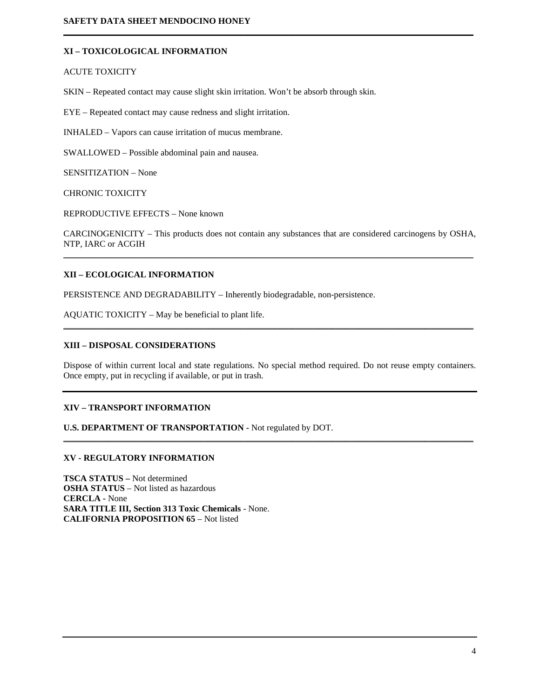# **XI – TOXICOLOGICAL INFORMATION**

#### ACUTE TOXICITY

SKIN – Repeated contact may cause slight skin irritation. Won't be absorb through skin.

EYE – Repeated contact may cause redness and slight irritation.

INHALED – Vapors can cause irritation of mucus membrane.

SWALLOWED – Possible abdominal pain and nausea.

SENSITIZATION – None

CHRONIC TOXICITY

REPRODUCTIVE EFFECTS – None known

CARCINOGENICITY – This products does not contain any substances that are considered carcinogens by OSHA, NTP, IARC or ACGIH \_\_\_\_\_\_\_\_\_\_\_\_\_\_\_\_\_\_\_\_\_\_\_\_\_\_\_\_\_\_\_\_\_\_\_\_\_\_\_\_\_\_\_\_\_\_\_\_\_\_\_\_\_\_\_\_\_\_\_\_\_\_\_\_\_\_\_\_\_\_\_\_\_\_\_\_\_\_\_\_\_\_\_\_\_\_\_\_\_\_\_\_\_

**\_\_\_\_\_\_\_\_\_\_\_\_\_\_\_\_\_\_\_\_\_\_\_\_\_\_\_\_\_\_\_\_\_\_\_\_\_\_\_\_\_\_\_\_\_\_\_\_\_\_\_\_\_\_\_\_\_\_\_\_\_\_\_\_\_\_\_\_\_\_\_\_\_\_\_\_\_\_\_\_\_\_\_\_\_\_\_\_\_\_\_\_\_**

# **XII – ECOLOGICAL INFORMATION**

PERSISTENCE AND DEGRADABILITY – Inherently biodegradable, non-persistence.

AQUATIC TOXICITY – May be beneficial to plant life.

# **XIII – DISPOSAL CONSIDERATIONS**

Dispose of within current local and state regulations. No special method required. Do not reuse empty containers. Once empty, put in recycling if available, or put in trash.

\_\_\_\_\_\_\_\_\_\_\_\_\_\_\_\_\_\_\_\_\_\_\_\_\_\_\_\_\_\_\_\_\_\_\_\_\_\_\_\_\_\_\_\_\_\_\_\_\_\_\_\_\_\_\_\_\_\_\_\_\_\_\_\_\_\_\_\_\_\_\_\_\_\_\_\_\_\_\_\_\_\_\_\_\_\_\_\_\_\_\_\_\_

\_\_\_\_\_\_\_\_\_\_\_\_\_\_\_\_\_\_\_\_\_\_\_\_\_\_\_\_\_\_\_\_\_\_\_\_\_\_\_\_\_\_\_\_\_\_\_\_\_\_\_\_\_\_\_\_\_\_\_\_\_\_\_\_\_\_\_\_\_\_\_\_\_\_\_\_\_\_\_\_\_\_\_\_\_\_\_\_\_\_\_\_\_

# **XIV – TRANSPORT INFORMATION**

**U.S. DEPARTMENT OF TRANSPORTATION -** Not regulated by DOT.

# **XV - REGULATORY INFORMATION**

**TSCA STATUS –** Not determined **OSHA STATUS** – Not listed as hazardous **CERCLA -** None **SARA TITLE III, Section 313 Toxic Chemicals** - None. **CALIFORNIA PROPOSITION 65** – Not listed